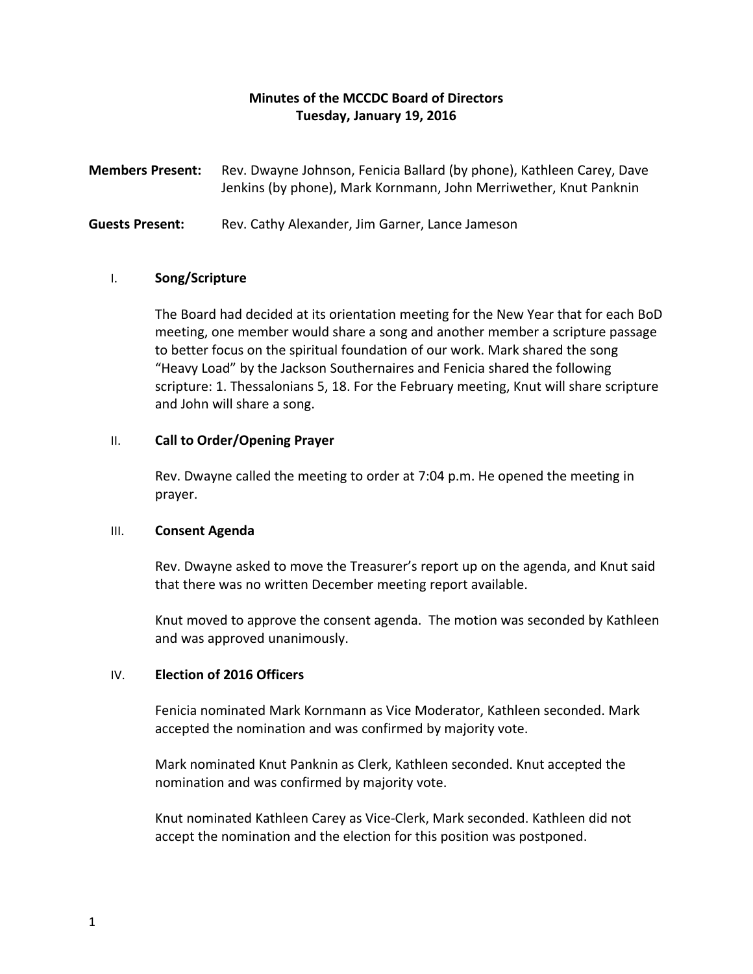# **Minutes of the MCCDC Board of Directors Tuesday, January 19, 2016**

**Members Present:** Rev. Dwayne Johnson, Fenicia Ballard (by phone), Kathleen Carey, Dave Jenkins (by phone), Mark Kornmann, John Merriwether, Knut Panknin

**Guests Present:** Rev. Cathy Alexander, Jim Garner, Lance Jameson

#### I. **Song/Scripture**

The Board had decided at its orientation meeting for the New Year that for each BoD meeting, one member would share a song and another member a scripture passage to better focus on the spiritual foundation of our work. Mark shared the song "Heavy Load" by the Jackson Southernaires and Fenicia shared the following scripture: 1. Thessalonians 5, 18. For the February meeting, Knut will share scripture and John will share a song.

## II. **Call to Order/Opening Prayer**

Rev. Dwayne called the meeting to order at 7:04 p.m. He opened the meeting in prayer.

#### III. **Consent Agenda**

Rev. Dwayne asked to move the Treasurer's report up on the agenda, and Knut said that there was no written December meeting report available.

Knut moved to approve the consent agenda. The motion was seconded by Kathleen and was approved unanimously.

## IV. **Election of 2016 Officers**

Fenicia nominated Mark Kornmann as Vice Moderator, Kathleen seconded. Mark accepted the nomination and was confirmed by majority vote.

Mark nominated Knut Panknin as Clerk, Kathleen seconded. Knut accepted the nomination and was confirmed by majority vote.

Knut nominated Kathleen Carey as Vice-Clerk, Mark seconded. Kathleen did not accept the nomination and the election for this position was postponed.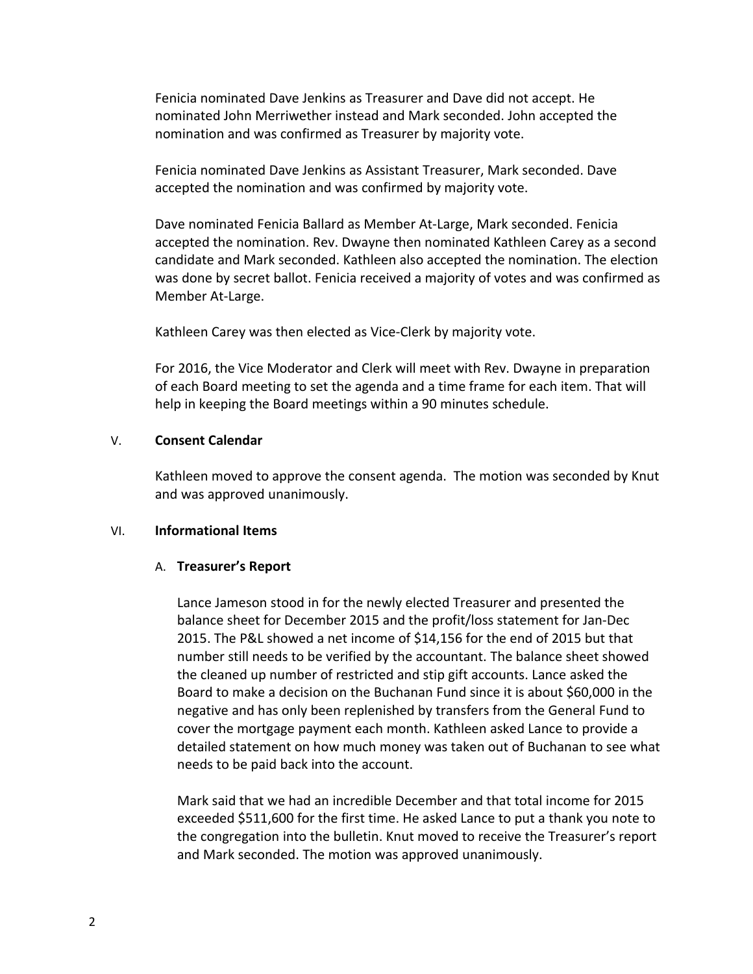Fenicia nominated Dave Jenkins as Treasurer and Dave did not accept. He nominated John Merriwether instead and Mark seconded. John accepted the nomination and was confirmed as Treasurer by majority vote.

Fenicia nominated Dave Jenkins as Assistant Treasurer, Mark seconded. Dave accepted the nomination and was confirmed by majority vote.

Dave nominated Fenicia Ballard as Member At-Large, Mark seconded. Fenicia accepted the nomination. Rev. Dwayne then nominated Kathleen Carey as a second candidate and Mark seconded. Kathleen also accepted the nomination. The election was done by secret ballot. Fenicia received a majority of votes and was confirmed as Member At-Large.

Kathleen Carey was then elected as Vice-Clerk by majority vote.

For 2016, the Vice Moderator and Clerk will meet with Rev. Dwayne in preparation of each Board meeting to set the agenda and a time frame for each item. That will help in keeping the Board meetings within a 90 minutes schedule.

#### V. **Consent Calendar**

Kathleen moved to approve the consent agenda. The motion was seconded by Knut and was approved unanimously.

#### VI. **Informational Items**

## A. **Treasurer's Report**

Lance Jameson stood in for the newly elected Treasurer and presented the balance sheet for December 2015 and the profit/loss statement for Jan-Dec 2015. The P&L showed a net income of \$14,156 for the end of 2015 but that number still needs to be verified by the accountant. The balance sheet showed the cleaned up number of restricted and stip gift accounts. Lance asked the Board to make a decision on the Buchanan Fund since it is about \$60,000 in the negative and has only been replenished by transfers from the General Fund to cover the mortgage payment each month. Kathleen asked Lance to provide a detailed statement on how much money was taken out of Buchanan to see what needs to be paid back into the account.

Mark said that we had an incredible December and that total income for 2015 exceeded \$511,600 for the first time. He asked Lance to put a thank you note to the congregation into the bulletin. Knut moved to receive the Treasurer's report and Mark seconded. The motion was approved unanimously.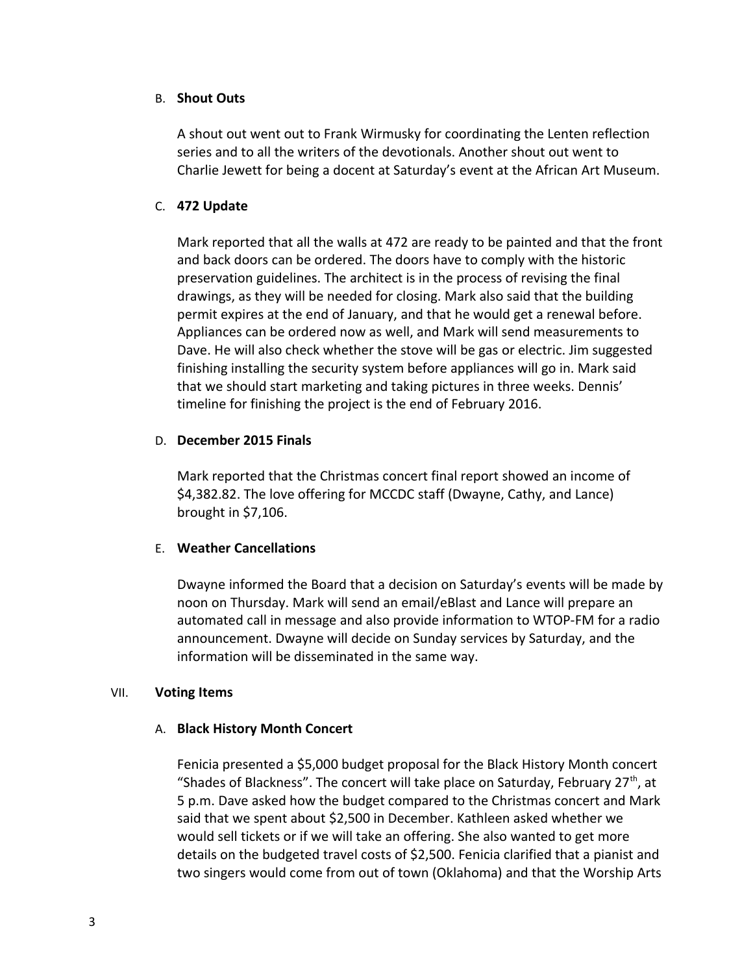#### B. **Shout Outs**

A shout out went out to Frank Wirmusky for coordinating the Lenten reflection series and to all the writers of the devotionals. Another shout out went to Charlie Jewett for being a docent at Saturday's event at the African Art Museum.

## C. **472 Update**

Mark reported that all the walls at 472 are ready to be painted and that the front and back doors can be ordered. The doors have to comply with the historic preservation guidelines. The architect is in the process of revising the final drawings, as they will be needed for closing. Mark also said that the building permit expires at the end of January, and that he would get a renewal before. Appliances can be ordered now as well, and Mark will send measurements to Dave. He will also check whether the stove will be gas or electric. Jim suggested finishing installing the security system before appliances will go in. Mark said that we should start marketing and taking pictures in three weeks. Dennis' timeline for finishing the project is the end of February 2016.

## D. **December 2015 Finals**

Mark reported that the Christmas concert final report showed an income of \$4,382.82. The love offering for MCCDC staff (Dwayne, Cathy, and Lance) brought in \$7,106.

## E. **Weather Cancellations**

Dwayne informed the Board that a decision on Saturday's events will be made by noon on Thursday. Mark will send an email/eBlast and Lance will prepare an automated call in message and also provide information to WTOP-FM for a radio announcement. Dwayne will decide on Sunday services by Saturday, and the information will be disseminated in the same way.

## VII. **Voting Items**

## A. **Black History Month Concert**

Fenicia presented a \$5,000 budget proposal for the Black History Month concert "Shades of Blackness". The concert will take place on Saturday, February 27<sup>th</sup>, at 5 p.m. Dave asked how the budget compared to the Christmas concert and Mark said that we spent about \$2,500 in December. Kathleen asked whether we would sell tickets or if we will take an offering. She also wanted to get more details on the budgeted travel costs of \$2,500. Fenicia clarified that a pianist and two singers would come from out of town (Oklahoma) and that the Worship Arts